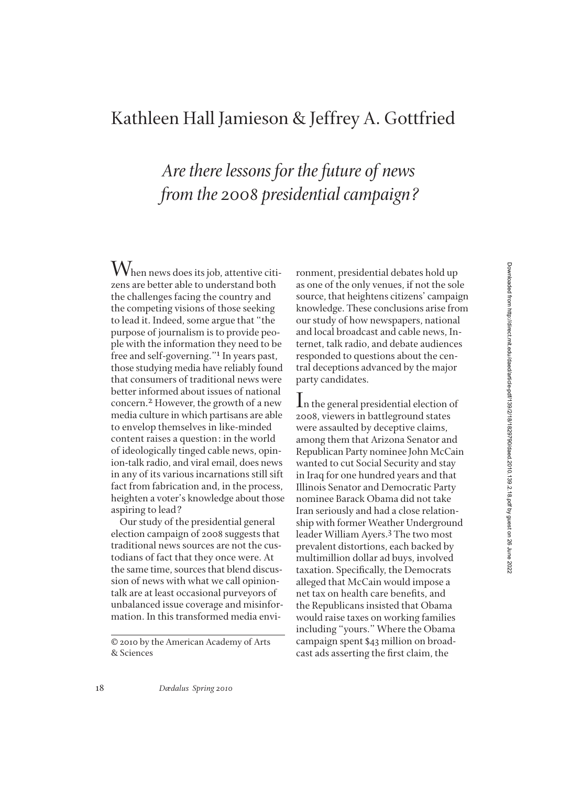## Kathleen Hall Jamieson & Jeffrey A. Gottfried

## *Are there lessons for the future of news from the 2008 presidential campaign?*

 $\rm W$ hen news does its job, attentive citizens are better able to understand both the challenges facing the country and the competing visions of those seeking to lead it. Indeed, some argue that "the purpose of journalism is to provide people with the information they need to be free and self-governing."1 In years past, those studying media have reliably found that consumers of traditional news were better informed about issues of national concern.2 However, the growth of a new media culture in which partisans are able to envelop themselves in like-minded content raises a question: in the world of ideologically tinged cable news, opinion-talk radio, and viral email, does news in any of its various incarnations still sift fact from fabrication and, in the process, heighten a voter's knowledge about those aspiring to lead?

Our study of the presidential general election campaign of 2008 suggests that traditional news sources are not the custodians of fact that they once were. At the same time, sources that blend discussion of news with what we call opiniontalk are at least occasional purveyors of unbalanced issue coverage and misinformation. In this transformed media environment, presidential debates hold up as one of the only venues, if not the sole source, that heightens citizens' campaign knowledge. These conclusions arise from our study of how newspapers, national and local broadcast and cable news, Internet, talk radio, and debate audiences responded to questions about the central deceptions advanced by the major party candidates.

In the general presidential election of 2008, viewers in battleground states were assaulted by deceptive claims, among them that Arizona Senator and Republican Party nominee John McCain wanted to cut Social Security and stay in Iraq for one hundred years and that Illinois Senator and Democratic Party nominee Barack Obama did not take Iran seriously and had a close relationship with former Weather Underground leader William Ayers.3 The two most prevalent distortions, each backed by multimillion dollar ad buys, involved taxation. Specifically, the Democrats alleged that McCain would impose a net tax on health care benefits, and the Republicans insisted that Obama would raise taxes on working families including "yours." Where the Obama campaign spent \$43 million on broadcast ads asserting the first claim, the

<sup>© 2010</sup> by the American Academy of Arts & Sciences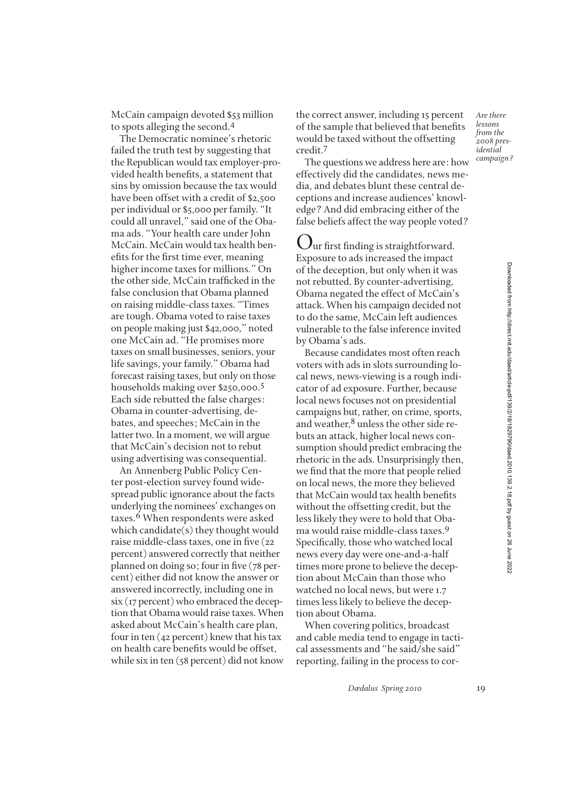McCain campaign devoted \$53 million to spots alleging the second.4

The Democratic nominee's rhetoric failed the truth test by suggesting that the Republican would tax employer-provided health benefits, a statement that sins by omission because the tax would have been offset with a credit of \$2,500 per individual or \$5,000 per family. "It could all unravel," said one of the Obama ads. "Your health care under John McCain. McCain would tax health benefits for the first time ever, meaning higher income taxes for millions." On the other side, McCain trafficked in the false conclusion that Obama planned on raising middle-class taxes. "Times are tough. Obama voted to raise taxes on people making just \$42,000," noted one McCain ad. "He promises more taxes on small businesses, seniors, your life savings, your family." Obama had forecast raising taxes, but only on those households making over \$250,000.5 Each side rebutted the false charges: Obama in counter-advertising, debates, and speeches; McCain in the latter two. In a moment, we will argue that McCain's decision not to rebut using advertising was consequential.

An Annenberg Public Policy Center post-election survey found widespread public ignorance about the facts underlying the nominees' exchanges on taxes.<sup>6</sup> When respondents were asked which candidate(s) they thought would raise middle-class taxes, one in five (22 percent) answered correctly that neither planned on doing so; four in five (78 percent) either did not know the answer or answered incorrectly, including one in six (17 percent) who embraced the deception that Obama would raise taxes. When asked about McCain's health care plan, four in ten (42 percent) knew that his tax on health care benefits would be offset, while six in ten (58 percent) did not know

the correct answer, including 15 percent of the sample that believed that benefits would be taxed without the offsetting credit.7

The questions we address here are: how effectively did the candidates, news media, and debates blunt these central deceptions and increase audiences' knowledge? And did embracing either of the false beliefs affect the way people voted?

 $\mathbf{U}$ ur first finding is straightforward. Exposure to ads increased the impact of the deception, but only when it was not rebutted. By counter-advertising, Obama negated the effect of McCain's attack. When his campaign decided not to do the same, McCain left audiences vulnerable to the false inference invited by Obama's ads.

Because candidates most often reach voters with ads in slots surrounding local news, news-viewing is a rough indicator of ad exposure. Further, because local news focuses not on presidential campaigns but, rather, on crime, sports, and weather,<sup>8</sup> unless the other side rebuts an attack, higher local news consumption should predict embracing the rhetoric in the ads. Unsurprisingly then, we find that the more that people relied on local news, the more they believed that McCain would tax health benefits without the offsetting credit, but the less likely they were to hold that Obama would raise middle-class taxes.9 Specifically, those who watched local news every day were one-and-a-half times more prone to believe the deception about McCain than those who watched no local news, but were 1.7 times less likely to believe the deception about Obama.

When covering politics, broadcast and cable media tend to engage in tactical assessments and "he said/she said" reporting, failing in the process to cor-

*Dædalus Spring 2010* 19

*Are there lessons from the 2008 presidential campaign?*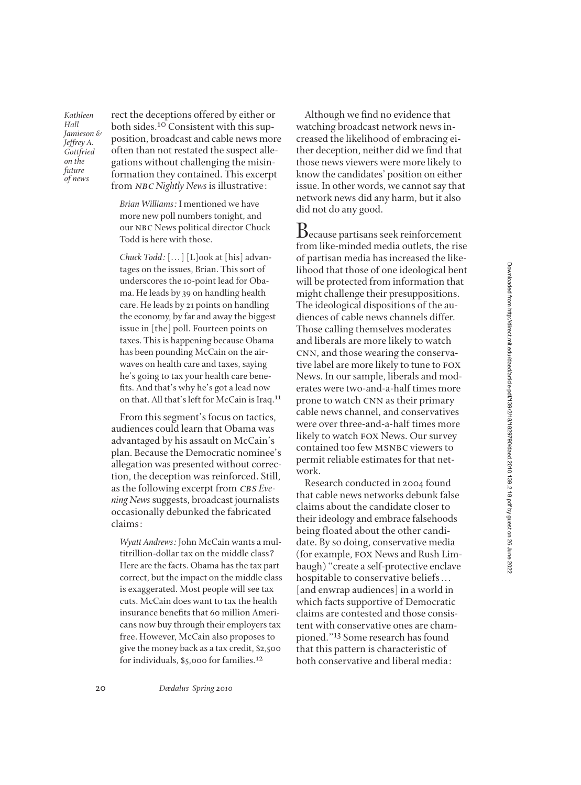Downloaded from http://direct.mit.edu/daed/article-pdf/139/2/18/1829790/daed.2010.139.2.18.pdf by guest on 26 June 2022 Downloaded from http://direct.mit.edu/daed/article-pdf/139/2/18/1829790/daed.2010.139.2.18.pdf by guest on 26 June 2022

*Kathleen Hall Jamieson & Jeffrey A. Gottfried on the future of news*

rect the deceptions offered by either or both sides.10 Consistent with this supposition, broadcast and cable news more often than not restated the suspect allegations without challenging the misinformation they contained. This excerpt from nbc *Nightly News* is illustrative:

*Brian Williams:* I mentioned we have more new poll numbers tonight, and our NBC News political director Chuck Todd is here with those.

*Chuck Todd:* [. . . ] [L]ook at [his] advantages on the issues, Brian. This sort of underscores the 10-point lead for Obama. He leads by 39 on handling health care. He leads by 21 points on handling the economy, by far and away the biggest issue in [the] poll. Fourteen points on taxes. This is happening because Obama has been pounding McCain on the airwaves on health care and taxes, saying he's going to tax your health care bene fits. And that's why he's got a lead now on that. All that's left for McCain is Iraq.11

From this segment's focus on tactics, audiences could learn that Obama was advantaged by his assault on McCain's plan. Because the Democratic nominee's allegation was presented without correction, the deception was reinforced. Still, as the following excerpt from *CBS Evening News*suggests, broadcast journalists occasionally debunked the fabricated claims:

*Wyatt Andrews:* John McCain wants a multitrillion-dollar tax on the middle class? Here are the facts. Obama has the tax part correct, but the impact on the middle class is exaggerated. Most people will see tax cuts. McCain does want to tax the health insurance benefits that 60 million Americans now buy through their employers tax free. However, McCain also proposes to give the money back as a tax credit, \$2,500 for individuals, \$5,000 for families.12

Although we find no evidence that watching broadcast network news increased the likelihood of embracing either deception, neither did we find that those news viewers were more likely to know the candidates' position on either issue. In other words, we cannot say that network news did any harm, but it also did not do any good.

Because partisans seek reinforcement from like-minded media outlets, the rise of partisan media has increased the likelihood that those of one ideological bent will be protected from information that might challenge their presuppositions. The ideological dispositions of the audiences of cable news channels differ. Those calling themselves moderates and liberals are more likely to watch CNN, and those wearing the conservative label are more likely to tune to fox News. In our sample, liberals and moderates were two-and-a-half times more prone to watch CNN as their primary cable news channel, and conservatives were over three-and-a-half times more likely to watch fox News. Our survey contained too few MSNBC viewers to permit reliable estimates for that network.

Research conducted in 2004 found that cable news networks debunk false claims about the candidate closer to their ideology and embrace falsehoods being floated about the other candidate. By so doing, conservative media (for example, fox News and Rush Limbaugh) "create a self-protective enclave hospitable to conservative beliefs... [and enwrap audiences] in a world in which facts supportive of Democratic claims are contested and those consistent with conservative ones are championed."13 Some research has found that this pattern is characteristic of both conservative and liberal media: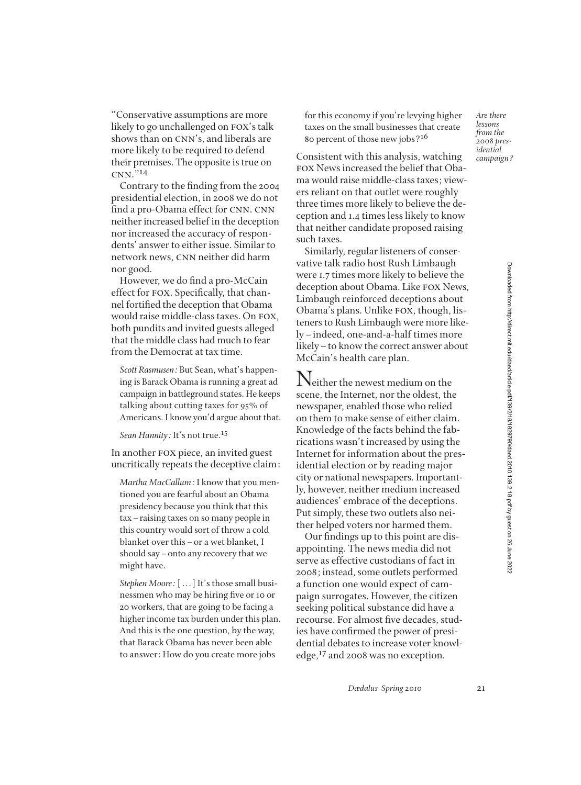"Conservative assumptions are more likely to go unchallenged on FOX's talk shows than on CNN's, and liberals are more likely to be required to defend their premises. The opposite is true on cnn."<sup>14</sup>

Contrary to the finding from the 2004 presidential election, in 2008 we do not find a pro-Obama effect for CNN. CNN neither increased belief in the deception nor increased the accuracy of respondents' answer to either issue. Similar to network news, CNN neither did harm nor good.

However, we do find a pro-McCain effect for FOX. Specifically, that channel fortified the deception that Obama would raise middle-class taxes. On fox, both pundits and invited guests alleged that the middle class had much to fear from the Democrat at tax time.

*Scott Rasmusen:* But Sean, what's happening is Barack Obama is running a great ad campaign in battleground states. He keeps talking about cutting taxes for 95% of Americans. I know you'd argue about that.

*Sean Hannity:* It's not true.15

In another fox piece, an invited guest uncritically repeats the deceptive claim:

*Martha MacCallum:* I know that you mentioned you are fearful about an Obama presidency because you think that this tax–raising taxes on so many people in this country would sort of throw a cold blanket over this–or a wet blanket, I should say–onto any recovery that we might have.

*Stephen Moore:* [...] It's those small businessmen who may be hiring five or 10 or 20 workers, that are going to be facing a higher income tax burden under this plan. And this is the one question, by the way, that Barack Obama has never been able to answer: How do you create more jobs

for this economy if you're levying higher taxes on the small businesses that create 80 percent of those new jobs?16

Consistent with this analysis, watching fox News increased the belief that Obama would raise middle-class taxes; viewers reliant on that outlet were roughly three times more likely to believe the deception and 1.4 times less likely to know that neither candidate proposed raising such taxes.

Similarly, regular listeners of conservative talk radio host Rush Limbaugh were 1.7 times more likely to believe the deception about Obama. Like fox News, Limbaugh reinforced deceptions about Obama's plans. Unlike fox, though, listeners to Rush Limbaugh were more likely–indeed, one-and-a-half times more likely–to know the correct answer about McCain's health care plan.

Neither the newest medium on the scene, the Internet, nor the oldest, the newspaper, enabled those who relied on them to make sense of either claim. Knowledge of the facts behind the fabrications wasn't increased by using the Internet for information about the presidential election or by reading major city or national newspapers. Importantly, however, neither medium increased audiences' embrace of the deceptions. Put simply, these two outlets also neither helped voters nor harmed them.

Our findings up to this point are disappointing. The news media did not serve as effective custodians of fact in 2008; instead, some outlets performed a function one would expect of campaign surrogates. However, the citizen seeking political substance did have a recourse. For almost five decades, studies have confirmed the power of presidential debates to increase voter knowledge,17 and 2008 was no exception.

*Are there lessons from the 2008 presidential campaign?*

*Dædalus Spring 2010* 21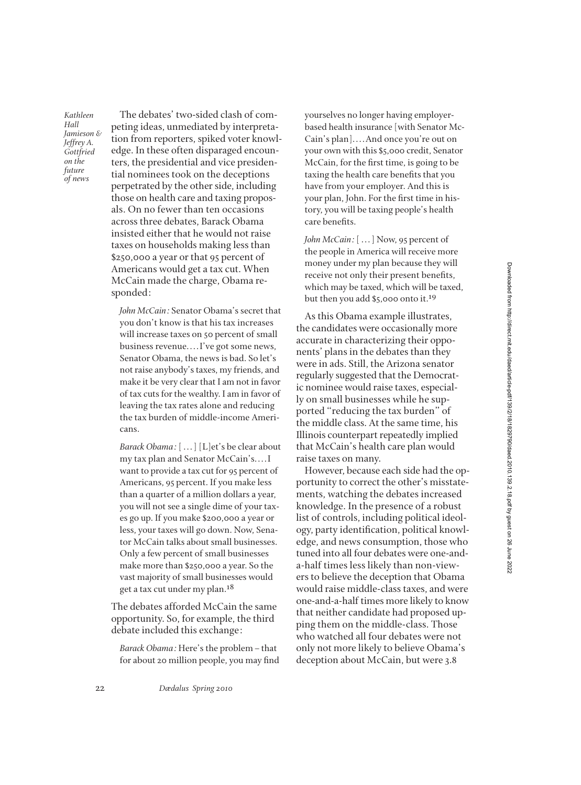*Kathleen Hall Jamieson & Jeffrey A. Gottfried on the future of news*

The debates' two-sided clash of competing ideas, unmediated by interpretation from reporters, spiked voter knowledge. In these often disparaged encounters, the presidential and vice presidential nominees took on the deceptions perpetrated by the other side, including those on health care and taxing proposals. On no fewer than ten occasions across three debates, Barack Obama insisted either that he would not raise taxes on households making less than \$250,000 a year or that 95 percent of Americans would get a tax cut. When McCain made the charge, Obama responded:

*John McCain:* Senator Obama's secret that you don't know is that his tax increases will increase taxes on 50 percent of small business revenue. . . . I've got some news, Senator Obama, the news is bad. So let's not raise anybody's taxes, my friends, and make it be very clear that I am not in favor of tax cuts for the wealthy. I am in favor of leaving the tax rates alone and reducing the tax burden of middle-income Americans.

*Barack Obama:* [...] [L]et's be clear about my tax plan and Senator McCain's. . . . I want to provide a tax cut for 95 percent of Americans, 95 percent. If you make less than a quarter of a million dollars a year, you will not see a single dime of your taxes go up. If you make \$200,000 a year or less, your taxes will go down. Now, Senator McCain talks about small businesses. Only a few percent of small businesses make more than \$250,000 a year. So the vast majority of small businesses would get a tax cut under my plan.<sup>18</sup>

The debates afforded McCain the same opportunity. So, for example, the third debate included this exchange:

*Barack Obama:* Here's the problem–that for about 20 million people, you may find yourselves no longer having employerbased health insurance [with Senator Mc-Cain's plan]. . . . And once you're out on your own with this \$5,000 credit, Senator McCain, for the first time, is going to be taxing the health care benefits that you have from your employer. And this is your plan, John. For the first time in history, you will be taxing people's health care benefits.

*John McCain:* [...] Now, 95 percent of the people in America will receive more money under my plan because they will receive not only their present benefits, which may be taxed, which will be taxed, but then you add \$5,000 onto it.19

As this Obama example illustrates, the candidates were occasionally more accurate in characterizing their opponents' plans in the debates than they were in ads. Still, the Arizona senator regularly suggested that the Democratic nominee would raise taxes, especially on small businesses while he supported "reducing the tax burden" of the middle class. At the same time, his Illinois counterpart repeatedly implied that McCain's health care plan would raise taxes on many.

However, because each side had the opportunity to correct the other's misstatements, watching the debates increased knowledge. In the presence of a robust list of controls, including political ideology, party identification, political knowledge, and news consumption, those who tuned into all four debates were one-anda-half times less likely than non-viewers to believe the deception that Obama would raise middle-class taxes, and were one-and-a-half times more likely to know that neither candidate had proposed upping them on the middle-class. Those who watched all four debates were not only not more likely to believe Obama's deception about McCain, but were 3.8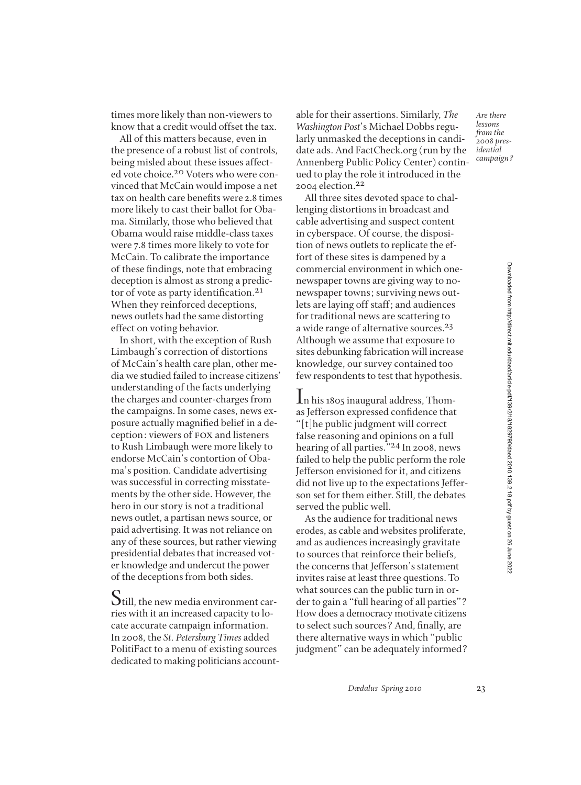times more likely than non-viewers to know that a credit would offset the tax.

All of this matters because, even in the presence of a robust list of controls, being misled about these issues affected vote choice.20 Voters who were convinced that McCain would impose a net tax on health care benefits were 2.8 times more likely to cast their ballot for Obama. Similarly, those who believed that Obama would raise middle-class taxes were 7.8 times more likely to vote for McCain. To calibrate the importance of these findings, note that embracing deception is almost as strong a predictor of vote as party identification.<sup>21</sup> When they reinforced deceptions, news outlets had the same distorting effect on voting behavior.

In short, with the exception of Rush Limbaugh's correction of distortions of McCain's health care plan, other media we studied failed to increase citizens' understanding of the facts underlying the charges and counter-charges from the campaigns. In some cases, news exposure actually magnified belief in a deception: viewers of fox and listeners to Rush Limbaugh were more likely to endorse McCain's contortion of Obama's position. Candidate advertising was successful in correcting misstatements by the other side. However, the hero in our story is not a traditional news outlet, a partisan news source, or paid advertising. It was not reliance on any of these sources, but rather viewing presidential debates that increased voter knowledge and undercut the power of the deceptions from both sides.

Still, the new media environment carries with it an increased capacity to locate accurate campaign information. In 2008, the *St. Petersburg Times* added PolitiFact to a menu of existing sources dedicated to making politicians accountable for their assertions. Similarly, *The Washington Post*'s Michael Dobbs regularly unmasked the deceptions in candidate ads. And FactCheck.org (run by the Annenberg Public Policy Center) continued to play the role it introduced in the 2004 election.22

All three sites devoted space to challenging distortions in broadcast and cable advertising and suspect content in cyberspace. Of course, the disposition of news outlets to replicate the effort of these sites is dampened by a commercial environment in which onenewspaper towns are giving way to nonewspaper towns; surviving news outlets are laying off staff; and audiences for traditional news are scattering to a wide range of alternative sources.23 Although we assume that exposure to sites debunking fabrication will increase knowledge, our survey contained too few respondents to test that hypothesis.

In his 1805 inaugural address, Thomas Jefferson expressed confidence that "[t]he public judgment will correct false reasoning and opinions on a full hearing of all parties."24 In 2008, news failed to help the public perform the role Jefferson envisioned for it, and citizens did not live up to the expectations Jefferson set for them either. Still, the debates served the public well.

As the audience for traditional news erodes, as cable and websites proliferate, and as audiences increasingly gravitate to sources that reinforce their beliefs, the concerns that Jefferson's statement invites raise at least three questions. To what sources can the public turn in order to gain a "full hearing of all parties"? How does a democracy motivate citizens to select such sources? And, finally, are there alternative ways in which "public judgment" can be adequately informed?

*Are there lessons from the 2008 presidential campaign?*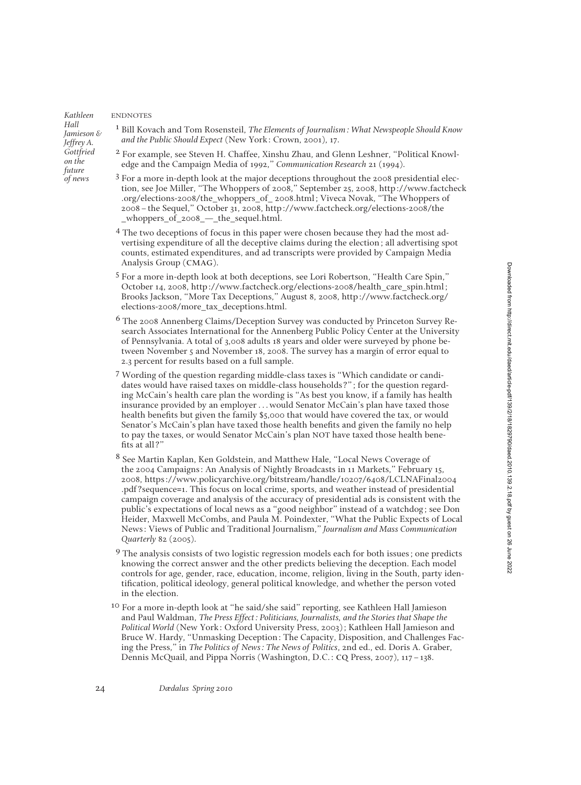*Kathleen Hall Jamieson & Jeffrey A. Gottfried on the future of news*

ENDNOTES

- 1 Bill Kovach and Tom Rosensteil, *The Elements of Journalism: What Newspeople Should Know and the Public Should Expect* (New York: Crown, 2001), 17.
- 2 For example, see Steven H. Chaffee, Xinshu Zhau, and Glenn Leshner, "Political Knowledge and the Campaign Media of 1992," *Communication Research* 21 (1994).
- 3 For a more in-depth look at the major deceptions throughout the 2008 presidential election, see Joe Miller, "The Whoppers of 2008," September 25, 2008, http://www.factcheck .org/elections-2008/the\_whoppers\_of\_ 2008.html; Viveca Novak, "The Whoppers of 2008–the Sequel," October 31, 2008, http://www.factcheck.org/elections-2008/the \_whoppers\_of\_2008\_—\_the\_sequel.html.
- 4 The two deceptions of focus in this paper were chosen because they had the most advertising expenditure of all the deceptive claims during the election; all advertising spot counts, estimated expenditures, and ad transcripts were provided by Campaign Media Analysis Group (cmag).
- 5 For a more in-depth look at both deceptions, see Lori Robertson, "Health Care Spin," October 14, 2008, http://www.factcheck.org/elections-2008/health\_care\_spin.html; Brooks Jackson, "More Tax Deceptions," August 8, 2008, http://www.factcheck.org/ elections-2008/more\_tax\_deceptions.html.
- 6 The 2008 Annenberg Claims/Deception Survey was conducted by Princeton Survey Research Associates International for the Annenberg Public Policy Center at the University of Pennsylvania. A total of 3,008 adults 18 years and older were surveyed by phone between November 5 and November 18, 2008. The survey has a margin of error equal to 2.3 percent for results based on a full sample.
- 7 Wording of the question regarding middle-class taxes is "Which candidate or candidates would have raised taxes on middle-class households?"; for the question regarding McCain's health care plan the wording is "As best you know, if a family has health insurance provided by an employer . . . would Senator McCain's plan have taxed those health benefits but given the family \$5,000 that would have covered the tax, or would Senator's McCain's plan have taxed those health benefits and given the family no help to pay the taxes, or would Senator McCain's plan NOT have taxed those health bene fits at all?'
- 8 See Martin Kaplan, Ken Goldstein, and Matthew Hale, "Local News Coverage of the 2004 Campaigns: An Analysis of Nightly Broadcasts in 11 Markets," February 15, 2008, https://www.policyarchive.org/bitstream/handle/10207/6408/LCLNAFinal2004 .pdf?sequence=1. This focus on local crime, sports, and weather instead of presidential campaign coverage and analysis of the accuracy of presidential ads is consistent with the public's expectations of local news as a "good neighbor" instead of a watchdog; see Don Heider, Maxwell McCombs, and Paula M. Poindexter, "What the Public Expects of Local News: Views of Public and Traditional Journalism," *Journalism and Mass Communication Quarterly* 82 (2005).
- <sup>9</sup> The analysis consists of two logistic regression models each for both issues; one predicts knowing the correct answer and the other predicts believing the deception. Each model controls for age, gender, race, education, income, religion, living in the South, party identification, political ideology, general political knowledge, and whether the person voted in the election.
- <sup>10</sup> For a more in-depth look at "he said/she said" reporting, see Kathleen Hall Jamieson and Paul Waldman, *The Press Effect: Politicians, Journalists, and the Stories that Shape the Political World* (New York: Oxford University Press, 2003); Kathleen Hall Jamieson and Bruce W. Hardy, "Unmasking Deception: The Capacity, Disposition, and Challenges Facing the Press," in *The Politics of News: The News of Politics*, 2nd ed., ed. Doris A. Graber, Dennis McQuail, and Pippa Norris (Washington, D.C.: cq Press, 2007), 117–138.

24 *Dædalus Spring 2010*